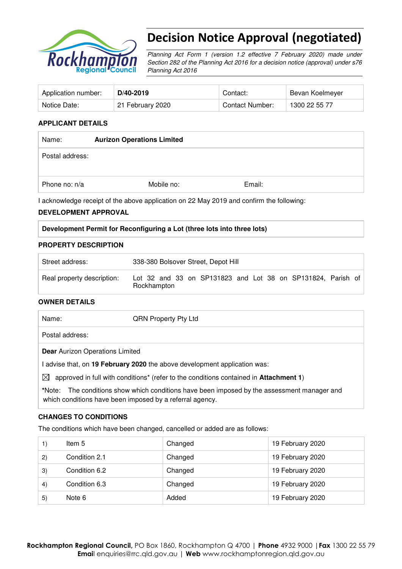

# Decision Notice Approval (negotiated)

Planning Act Form 1 (version 1.2 effective 7 February 2020) made under Section 282 of the Planning Act 2016 for a decision notice (approval) under s76 Planning Act 2016

| Application number: | D/40-2019        | Contact:        | Bevan Koelmeyer |
|---------------------|------------------|-----------------|-----------------|
| Notice Date:        | 21 February 2020 | Contact Number: | 1300 22 55 77   |

## **APPLICANT DETAILS**

| Name:           | <b>Aurizon Operations Limited</b> |        |  |
|-----------------|-----------------------------------|--------|--|
| Postal address: |                                   |        |  |
| Phone no: n/a   | Mobile no:                        | Email: |  |

I acknowledge receipt of the above application on 22 May 2019 and confirm the following:

## **DEVELOPMENT APPROVAL**

## **Development Permit for Reconfiguring a Lot (three lots into three lots)**

## **PROPERTY DESCRIPTION**

| Street address:            | 338-380 Bolsover Street, Depot Hill                                        |
|----------------------------|----------------------------------------------------------------------------|
| Real property description: | Lot 32 and 33 on SP131823 and Lot 38 on SP131824, Parish of<br>Rockhampton |

## **OWNER DETAILS**

| Name:           | <b>QRN Property Pty Ltd</b> |  |
|-----------------|-----------------------------|--|
| Postal address: |                             |  |

**Dear** Aurizon Operations Limited

I advise that, on **19 February 2020** the above development application was:

 $\boxtimes$  approved in full with conditions<sup>\*</sup> (refer to the conditions contained in **Attachment 1**)

**\***Note:The conditions show which conditions have been imposed by the assessment manager and which conditions have been imposed by a referral agency.

## **CHANGES TO CONDITIONS**

The conditions which have been changed, cancelled or added are as follows:

|     | Item 5        | Changed | 19 February 2020 |
|-----|---------------|---------|------------------|
| (2) | Condition 2.1 | Changed | 19 February 2020 |
| 3)  | Condition 6.2 | Changed | 19 February 2020 |
| 4)  | Condition 6.3 | Changed | 19 February 2020 |
| 5)  | Note 6        | Added   | 19 February 2020 |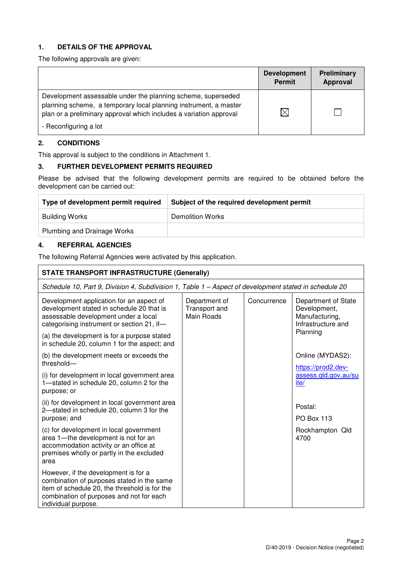## **1. DETAILS OF THE APPROVAL**

The following approvals are given:

|                                                                                                                                                                                                                                 | <b>Development</b><br><b>Permit</b> | <b>Preliminary</b><br><b>Approval</b> |
|---------------------------------------------------------------------------------------------------------------------------------------------------------------------------------------------------------------------------------|-------------------------------------|---------------------------------------|
| Development assessable under the planning scheme, superseded<br>planning scheme, a temporary local planning instrument, a master<br>plan or a preliminary approval which includes a variation approval<br>- Reconfiguring a lot | $\times$                            |                                       |

## **2. CONDITIONS**

This approval is subject to the conditions in Attachment 1.

## **3. FURTHER DEVELOPMENT PERMITS REQUIRED**

Please be advised that the following development permits are required to be obtained before the development can be carried out:

| Type of development permit required | Subject of the required development permit |
|-------------------------------------|--------------------------------------------|
| Building Works                      | Demolition Works                           |
| Plumbing and Drainage Works         |                                            |

## **4. REFERRAL AGENCIES**

The following Referral Agencies were activated by this application.

| <b>STATE TRANSPORT INFRASTRUCTURE (Generally)</b>                                                                                                                                                      |                                              |             |                                                                             |
|--------------------------------------------------------------------------------------------------------------------------------------------------------------------------------------------------------|----------------------------------------------|-------------|-----------------------------------------------------------------------------|
| Schedule 10, Part 9, Division 4, Subdivision 1, Table 1 – Aspect of development stated in schedule 20                                                                                                  |                                              |             |                                                                             |
| Development application for an aspect of<br>development stated in schedule 20 that is<br>assessable development under a local<br>categorising instrument or section 21, if-                            | Department of<br>Transport and<br>Main Roads | Concurrence | Department of State<br>Development,<br>Manufacturing,<br>Infrastructure and |
| (a) the development is for a purpose stated<br>in schedule 20, column 1 for the aspect; and                                                                                                            |                                              |             | Planning                                                                    |
| (b) the development meets or exceeds the<br>threshold-                                                                                                                                                 |                                              |             | Online (MYDAS2):<br>https://prod2.dev-                                      |
| (i) for development in local government area<br>1-stated in schedule 20, column 2 for the<br>purpose; or                                                                                               |                                              |             | assess.gld.gov.au/su<br>ite/                                                |
| (ii) for development in local government area<br>2-stated in schedule 20, column 3 for the<br>purpose; and                                                                                             |                                              |             | Postal:<br><b>PO Box 113</b>                                                |
| (c) for development in local government<br>area 1-the development is not for an<br>accommodation activity or an office at<br>premises wholly or partly in the excluded<br>area                         |                                              |             | Rockhampton Qld<br>4700                                                     |
| However, if the development is for a<br>combination of purposes stated in the same<br>item of schedule 20, the threshold is for the<br>combination of purposes and not for each<br>individual purpose. |                                              |             |                                                                             |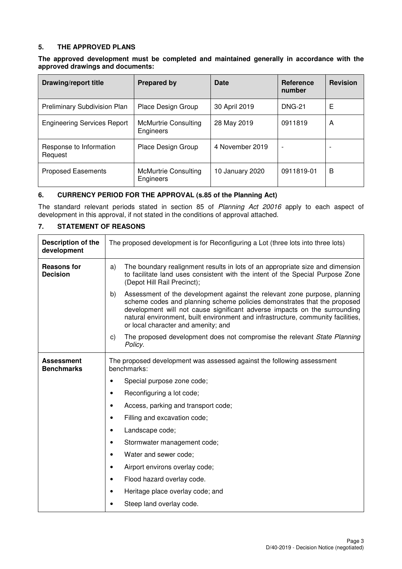## **5. THE APPROVED PLANS**

#### **The approved development must be completed and maintained generally in accordance with the approved drawings and documents:**

| Drawing/report title                | <b>Prepared by</b>                       | Date            | <b>Reference</b><br>number | <b>Revision</b> |
|-------------------------------------|------------------------------------------|-----------------|----------------------------|-----------------|
| <b>Preliminary Subdivision Plan</b> | Place Design Group                       | 30 April 2019   | <b>DNG-21</b>              | Е               |
| <b>Engineering Services Report</b>  | <b>McMurtrie Consulting</b><br>Engineers | 28 May 2019     | 0911819                    | A               |
| Response to Information<br>Request  | Place Design Group                       | 4 November 2019 | $\overline{\phantom{a}}$   |                 |
| <b>Proposed Easements</b>           | <b>McMurtrie Consulting</b><br>Engineers | 10 January 2020 | 0911819-01                 | B               |

## **6. CURRENCY PERIOD FOR THE APPROVAL (s.85 of the Planning Act)**

The standard relevant periods stated in section 85 of Planning Act 20016 apply to each aspect of development in this approval, if not stated in the conditions of approval attached.

## **7. STATEMENT OF REASONS**

| <b>Description of the</b><br>development | The proposed development is for Reconfiguring a Lot (three lots into three lots)                                                                                                                                                                                                                                                                                    |
|------------------------------------------|---------------------------------------------------------------------------------------------------------------------------------------------------------------------------------------------------------------------------------------------------------------------------------------------------------------------------------------------------------------------|
| <b>Reasons for</b><br><b>Decision</b>    | The boundary realignment results in lots of an appropriate size and dimension<br>a)<br>to facilitate land uses consistent with the intent of the Special Purpose Zone<br>(Depot Hill Rail Precinct);                                                                                                                                                                |
|                                          | Assessment of the development against the relevant zone purpose, planning<br>b)<br>scheme codes and planning scheme policies demonstrates that the proposed<br>development will not cause significant adverse impacts on the surrounding<br>natural environment, built environment and infrastructure, community facilities,<br>or local character and amenity; and |
|                                          | The proposed development does not compromise the relevant State Planning<br>C)<br>Policy.                                                                                                                                                                                                                                                                           |
| <b>Assessment</b><br><b>Benchmarks</b>   | The proposed development was assessed against the following assessment<br>benchmarks:                                                                                                                                                                                                                                                                               |
|                                          | Special purpose zone code;                                                                                                                                                                                                                                                                                                                                          |
|                                          | Reconfiguring a lot code;<br>٠                                                                                                                                                                                                                                                                                                                                      |
|                                          | Access, parking and transport code;<br>$\bullet$                                                                                                                                                                                                                                                                                                                    |
|                                          | Filling and excavation code;<br>٠                                                                                                                                                                                                                                                                                                                                   |
|                                          | Landscape code;<br>$\bullet$                                                                                                                                                                                                                                                                                                                                        |
|                                          | Stormwater management code;<br>$\bullet$                                                                                                                                                                                                                                                                                                                            |
|                                          | Water and sewer code;<br>$\bullet$                                                                                                                                                                                                                                                                                                                                  |
|                                          | Airport environs overlay code;<br>$\bullet$                                                                                                                                                                                                                                                                                                                         |
|                                          | Flood hazard overlay code.<br>$\bullet$                                                                                                                                                                                                                                                                                                                             |
|                                          | Heritage place overlay code; and<br>$\bullet$                                                                                                                                                                                                                                                                                                                       |
|                                          | Steep land overlay code.<br>$\bullet$                                                                                                                                                                                                                                                                                                                               |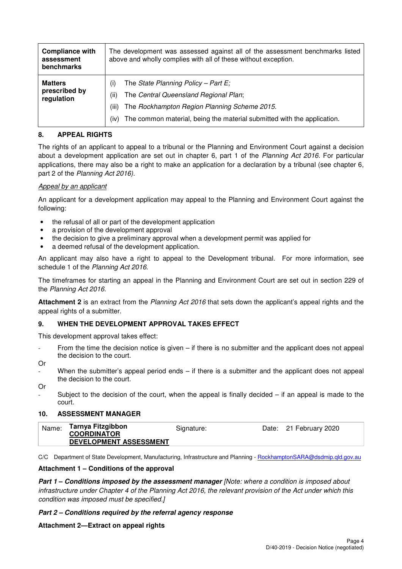| <b>Compliance with</b><br>assessment<br>benchmarks | The development was assessed against all of the assessment benchmarks listed<br>above and wholly complies with all of these without exception.                                                                                          |
|----------------------------------------------------|-----------------------------------------------------------------------------------------------------------------------------------------------------------------------------------------------------------------------------------------|
| <b>Matters</b><br>prescribed by<br>regulation      | The State Planning Policy - Part E;<br>(i)<br>The Central Queensland Regional Plan;<br>(ii)<br>The Rockhampton Region Planning Scheme 2015.<br>(iii)<br>The common material, being the material submitted with the application.<br>(iv) |

## **8. APPEAL RIGHTS**

The rights of an applicant to appeal to a tribunal or the Planning and Environment Court against a decision about a development application are set out in chapter 6, part 1 of the Planning Act 2016. For particular applications, there may also be a right to make an application for a declaration by a tribunal (see chapter 6, part 2 of the Planning Act 2016).

## Appeal by an applicant

An applicant for a development application may appeal to the Planning and Environment Court against the following:

- the refusal of all or part of the development application
- a provision of the development approval
- the decision to give a preliminary approval when a development permit was applied for
- a deemed refusal of the development application.

An applicant may also have a right to appeal to the Development tribunal. For more information, see schedule 1 of the Planning Act 2016.

The timeframes for starting an appeal in the Planning and Environment Court are set out in section 229 of the Planning Act 2016.

**Attachment 2** is an extract from the Planning Act 2016 that sets down the applicant's appeal rights and the appeal rights of a submitter.

## **9. WHEN THE DEVELOPMENT APPROVAL TAKES EFFECT**

This development approval takes effect:

- From the time the decision notice is given  $-$  if there is no submitter and the applicant does not appeal the decision to the court.
- Or
- When the submitter's appeal period ends  $-$  if there is a submitter and the applicant does not appeal the decision to the court.

Or

Subject to the decision of the court, when the appeal is finally decided  $-$  if an appeal is made to the court.

## **10. ASSESSMENT MANAGER**

|--|

C/C Department of State Development, Manufacturing, Infrastructure and Planning - RockhamptonSARA@dsdmip.qld.gov.au

## **Attachment 1 – Conditions of the approval**

**Part 1 – Conditions imposed by the assessment manager** [Note: where a condition is imposed about infrastructure under Chapter 4 of the Planning Act 2016, the relevant provision of the Act under which this condition was imposed must be specified.]

## **Part 2 – Conditions required by the referral agency response**

## **Attachment 2—Extract on appeal rights**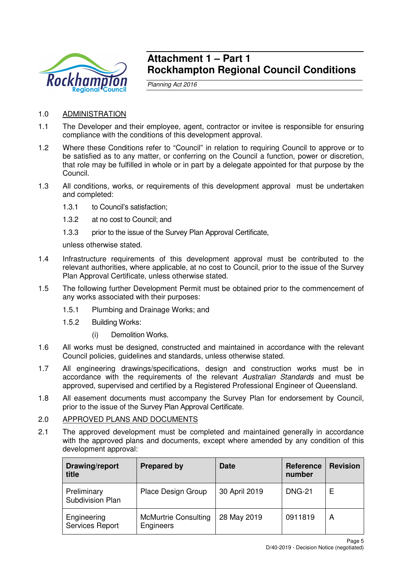

## **Attachment 1 – Part 1 Rockhampton Regional Council Conditions**

Planning Act 2016

## 1.0 ADMINISTRATION

- 1.1 The Developer and their employee, agent, contractor or invitee is responsible for ensuring compliance with the conditions of this development approval.
- 1.2 Where these Conditions refer to "Council" in relation to requiring Council to approve or to be satisfied as to any matter, or conferring on the Council a function, power or discretion, that role may be fulfilled in whole or in part by a delegate appointed for that purpose by the Council.
- 1.3 All conditions, works, or requirements of this development approval must be undertaken and completed:
	- 1.3.1 to Council's satisfaction;
	- 1.3.2 at no cost to Council; and
	- 1.3.3 prior to the issue of the Survey Plan Approval Certificate,

unless otherwise stated.

- 1.4 Infrastructure requirements of this development approval must be contributed to the relevant authorities, where applicable, at no cost to Council, prior to the issue of the Survey Plan Approval Certificate, unless otherwise stated.
- 1.5 The following further Development Permit must be obtained prior to the commencement of any works associated with their purposes:
	- 1.5.1 Plumbing and Drainage Works; and
	- 1.5.2 Building Works:
		- (i) Demolition Works.
- 1.6 All works must be designed, constructed and maintained in accordance with the relevant Council policies, guidelines and standards, unless otherwise stated.
- 1.7 All engineering drawings/specifications, design and construction works must be in accordance with the requirements of the relevant Australian Standards and must be approved, supervised and certified by a Registered Professional Engineer of Queensland.
- 1.8 All easement documents must accompany the Survey Plan for endorsement by Council, prior to the issue of the Survey Plan Approval Certificate.

## 2.0 APPROVED PLANS AND DOCUMENTS

2.1 The approved development must be completed and maintained generally in accordance with the approved plans and documents, except where amended by any condition of this development approval:

| Drawing/report<br>title         | <b>Prepared by</b>                       | <b>Date</b>   | <b>Reference</b><br>number | <b>Revision</b> |
|---------------------------------|------------------------------------------|---------------|----------------------------|-----------------|
| Preliminary<br>Subdivision Plan | Place Design Group                       | 30 April 2019 | <b>DNG-21</b>              | Е               |
| Engineering<br>Services Report  | <b>McMurtrie Consulting</b><br>Engineers | 28 May 2019   | 0911819                    | A               |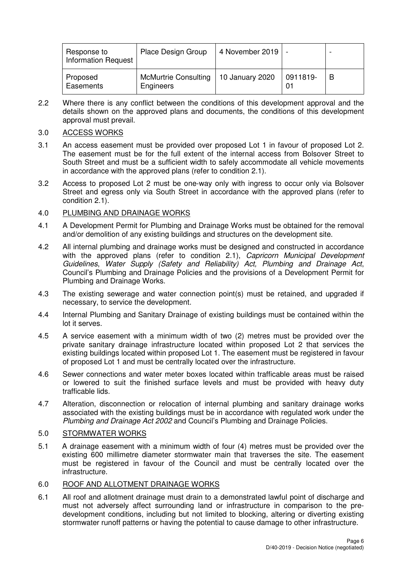| Response to<br><b>Information Request</b> | Place Design Group                       | 4 November 2019 |                | - |
|-------------------------------------------|------------------------------------------|-----------------|----------------|---|
| Proposed<br>Easements                     | <b>McMurtrie Consulting</b><br>Engineers | 10 January 2020 | 0911819-<br>01 | B |

2.2 Where there is any conflict between the conditions of this development approval and the details shown on the approved plans and documents, the conditions of this development approval must prevail.

## 3.0 ACCESS WORKS

- 3.1 An access easement must be provided over proposed Lot 1 in favour of proposed Lot 2. The easement must be for the full extent of the internal access from Bolsover Street to South Street and must be a sufficient width to safely accommodate all vehicle movements in accordance with the approved plans (refer to condition 2.1).
- 3.2 Access to proposed Lot 2 must be one-way only with ingress to occur only via Bolsover Street and egress only via South Street in accordance with the approved plans (refer to condition 2.1).

## 4.0 PLUMBING AND DRAINAGE WORKS

- 4.1 A Development Permit for Plumbing and Drainage Works must be obtained for the removal and/or demolition of any existing buildings and structures on the development site.
- 4.2 All internal plumbing and drainage works must be designed and constructed in accordance with the approved plans (refer to condition 2.1), Capricorn Municipal Development Guidelines, Water Supply (Safety and Reliability) Act, Plumbing and Drainage Act, Council's Plumbing and Drainage Policies and the provisions of a Development Permit for Plumbing and Drainage Works.
- 4.3 The existing sewerage and water connection point(s) must be retained, and upgraded if necessary, to service the development.
- 4.4 Internal Plumbing and Sanitary Drainage of existing buildings must be contained within the lot it serves.
- 4.5 A service easement with a minimum width of two (2) metres must be provided over the private sanitary drainage infrastructure located within proposed Lot 2 that services the existing buildings located within proposed Lot 1. The easement must be registered in favour of proposed Lot 1 and must be centrally located over the infrastructure.
- 4.6 Sewer connections and water meter boxes located within trafficable areas must be raised or lowered to suit the finished surface levels and must be provided with heavy duty trafficable lids.
- 4.7 Alteration, disconnection or relocation of internal plumbing and sanitary drainage works associated with the existing buildings must be in accordance with regulated work under the Plumbing and Drainage Act 2002 and Council's Plumbing and Drainage Policies.

## 5.0 STORMWATER WORKS

5.1 A drainage easement with a minimum width of four (4) metres must be provided over the existing 600 millimetre diameter stormwater main that traverses the site. The easement must be registered in favour of the Council and must be centrally located over the infrastructure.

## 6.0 ROOF AND ALLOTMENT DRAINAGE WORKS

6.1 All roof and allotment drainage must drain to a demonstrated lawful point of discharge and must not adversely affect surrounding land or infrastructure in comparison to the predevelopment conditions, including but not limited to blocking, altering or diverting existing stormwater runoff patterns or having the potential to cause damage to other infrastructure.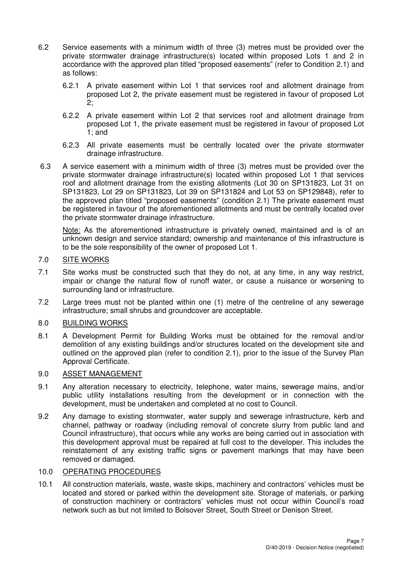- 6.2 Service easements with a minimum width of three (3) metres must be provided over the private stormwater drainage infrastructure(s) located within proposed Lots 1 and 2 in accordance with the approved plan titled "proposed easements" (refer to Condition 2.1) and as follows:
	- 6.2.1 A private easement within Lot 1 that services roof and allotment drainage from proposed Lot 2, the private easement must be registered in favour of proposed Lot  $2$
	- 6.2.2 A private easement within Lot 2 that services roof and allotment drainage from proposed Lot 1, the private easement must be registered in favour of proposed Lot 1; and
	- 6.2.3 All private easements must be centrally located over the private stormwater drainage infrastructure.
- 6.3 A service easement with a minimum width of three (3) metres must be provided over the private stormwater drainage infrastructure(s) located within proposed Lot 1 that services roof and allotment drainage from the existing allotments (Lot 30 on SP131823, Lot 31 on SP131823, Lot 29 on SP131823, Lot 39 on SP131824 and Lot 53 on SP129848), refer to the approved plan titled "proposed easements" (condition 2.1) The private easement must be registered in favour of the aforementioned allotments and must be centrally located over the private stormwater drainage infrastructure.

Note: As the aforementioned infrastructure is privately owned, maintained and is of an unknown design and service standard; ownership and maintenance of this infrastructure is to be the sole responsibility of the owner of proposed Lot 1.

## 7.0 SITE WORKS

- 7.1 Site works must be constructed such that they do not, at any time, in any way restrict, impair or change the natural flow of runoff water, or cause a nuisance or worsening to surrounding land or infrastructure.
- 7.2 Large trees must not be planted within one (1) metre of the centreline of any sewerage infrastructure; small shrubs and groundcover are acceptable.

## 8.0 BUILDING WORKS

8.1 A Development Permit for Building Works must be obtained for the removal and/or demolition of any existing buildings and/or structures located on the development site and outlined on the approved plan (refer to condition 2.1), prior to the issue of the Survey Plan Approval Certificate.

## 9.0 ASSET MANAGEMENT

- 9.1 Any alteration necessary to electricity, telephone, water mains, sewerage mains, and/or public utility installations resulting from the development or in connection with the development, must be undertaken and completed at no cost to Council.
- 9.2 Any damage to existing stormwater, water supply and sewerage infrastructure, kerb and channel, pathway or roadway (including removal of concrete slurry from public land and Council infrastructure), that occurs while any works are being carried out in association with this development approval must be repaired at full cost to the developer. This includes the reinstatement of any existing traffic signs or pavement markings that may have been removed or damaged.

## 10.0 OPERATING PROCEDURES

10.1 All construction materials, waste, waste skips, machinery and contractors' vehicles must be located and stored or parked within the development site. Storage of materials, or parking of construction machinery or contractors' vehicles must not occur within Council's road network such as but not limited to Bolsover Street, South Street or Denison Street.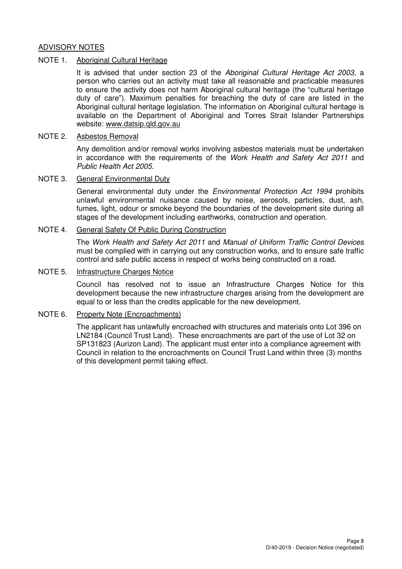## ADVISORY NOTES

## NOTE 1. Aboriginal Cultural Heritage

It is advised that under section 23 of the Aboriginal Cultural Heritage Act 2003, a person who carries out an activity must take all reasonable and practicable measures to ensure the activity does not harm Aboriginal cultural heritage (the "cultural heritage duty of care"). Maximum penalties for breaching the duty of care are listed in the Aboriginal cultural heritage legislation. The information on Aboriginal cultural heritage is available on the Department of Aboriginal and Torres Strait Islander Partnerships website: www.datsip.qld.gov.au

## NOTE 2. Asbestos Removal

Any demolition and/or removal works involving asbestos materials must be undertaken in accordance with the requirements of the Work Health and Safety Act 2011 and Public Health Act 2005.

## NOTE 3. General Environmental Duty

General environmental duty under the *Environmental Protection Act 1994* prohibits unlawful environmental nuisance caused by noise, aerosols, particles, dust, ash, fumes, light, odour or smoke beyond the boundaries of the development site during all stages of the development including earthworks, construction and operation.

## NOTE 4. General Safety Of Public During Construction

The Work Health and Safety Act 2011 and Manual of Uniform Traffic Control Devices must be complied with in carrying out any construction works, and to ensure safe traffic control and safe public access in respect of works being constructed on a road.

## NOTE 5. Infrastructure Charges Notice

Council has resolved not to issue an Infrastructure Charges Notice for this development because the new infrastructure charges arising from the development are equal to or less than the credits applicable for the new development.

## NOTE 6. Property Note (Encroachments)

The applicant has unlawfully encroached with structures and materials onto Lot 396 on LN2184 (Council Trust Land). These encroachments are part of the use of Lot 32 on SP131823 (Aurizon Land). The applicant must enter into a compliance agreement with Council in relation to the encroachments on Council Trust Land within three (3) months of this development permit taking effect.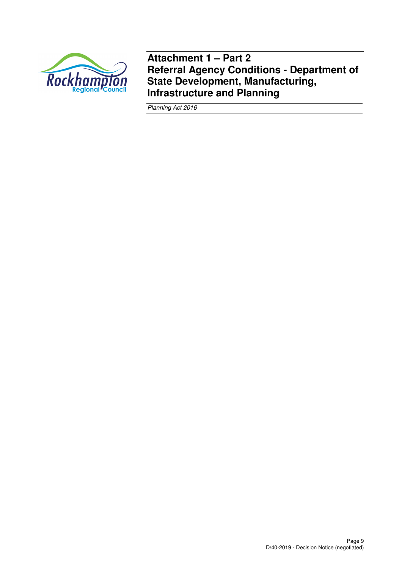

**Attachment 1 – Part 2 Referral Agency Conditions - Department of State Development, Manufacturing, Infrastructure and Planning** 

Planning Act 2016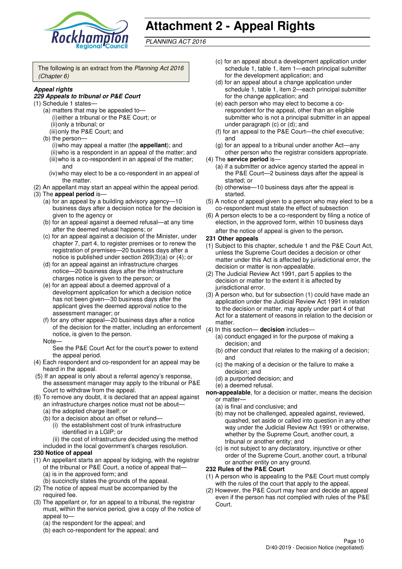

# **Attachment 2 - Appeal Rights**

PLANNING ACT 2016

The following is an extract from the Planning Act 2016 (Chapter 6)

## **Appeal rights**

#### **229 Appeals to tribunal or P&E Court**

- (1) Schedule 1 states—
	- (a) matters that may be appealed to— (i) either a tribunal or the P&E Court; or (ii) only a tribunal; or
	- (iii) only the P&E Court; and
	- (b) the person— (i) who may appeal a matter (the **appellant**); and
		- (ii) who is a respondent in an appeal of the matter; and (iii) who is a co-respondent in an appeal of the matter; and
		- (iv) who may elect to be a co-respondent in an appeal of the matter.
- (2) An appellant may start an appeal within the appeal period. (3) The **appeal period** is—
	- (a) for an appeal by a building advisory agency—10 business days after a decision notice for the decision is given to the agency or
	- (b) for an appeal against a deemed refusal—at any time after the deemed refusal happens; or
	- (c) for an appeal against a decision of the Minister, under chapter 7, part 4, to register premises or to renew the registration of premises—20 business days after a notice is published under section 269(3)(a) or (4); or
	- (d) for an appeal against an infrastructure charges notice—20 business days after the infrastructure charges notice is given to the person; or
	- (e) for an appeal about a deemed approval of a development application for which a decision notice has not been given—30 business days after the applicant gives the deemed approval notice to the assessment manager; or
	- (f) for any other appeal—20 business days after a notice of the decision for the matter, including an enforcement notice, is given to the person.

#### Note—

See the P&E Court Act for the court's power to extend the appeal period.

- (4) Each respondent and co-respondent for an appeal may be heard in the appeal.
- (5) If an appeal is only about a referral agency's response, the assessment manager may apply to the tribunal or P&E Court to withdraw from the appeal.
- (6) To remove any doubt, it is declared that an appeal against an infrastructure charges notice must not be about—
	- (a) the adopted charge itself; or
	- (b) for a decision about an offset or refund— (i) the establishment cost of trunk infrastructure identified in a LGIP; or

(ii) the cost of infrastructure decided using the method

included in the local government's charges resolution.

## **230 Notice of appeal**

- (1) An appellant starts an appeal by lodging, with the registrar of the tribunal or P&E Court, a notice of appeal that— (a) is in the approved form; and
	- (b) succinctly states the grounds of the appeal.
- (2) The notice of appeal must be accompanied by the required fee.
- (3) The appellant or, for an appeal to a tribunal, the registrar must, within the service period, give a copy of the notice of appeal to—
	- (a) the respondent for the appeal; and
	- (b) each co-respondent for the appeal; and
- (c) for an appeal about a development application under schedule 1, table 1, item 1—each principal submitter for the development application; and
- (d) for an appeal about a change application under schedule 1, table 1, item 2—each principal submitter for the change application; and
- (e) each person who may elect to become a corespondent for the appeal, other than an eligible submitter who is not a principal submitter in an appeal under paragraph (c) or (d); and
- (f) for an appeal to the P&E Court—the chief executive; and
- (g) for an appeal to a tribunal under another Act—any other person who the registrar considers appropriate.
- (4) The **service period** is—
	- (a) if a submitter or advice agency started the appeal in the P&E Court—2 business days after the appeal is started; or
	- (b) otherwise—10 business days after the appeal is started.
- (5) A notice of appeal given to a person who may elect to be a co-respondent must state the effect of subsection
- (6) A person elects to be a co-respondent by filing a notice of election, in the approved form, within 10 business days after the notice of appeal is given to the person*.*

#### **231 Other appeals**

- (1) Subject to this chapter, schedule 1 and the P&E Court Act, unless the Supreme Court decides a decision or other matter under this Act is affected by jurisdictional error, the decision or matter is non-appealable.
- (2) The Judicial Review Act 1991, part 5 applies to the decision or matter to the extent it is affected by jurisdictional error.
- (3) A person who, but for subsection (1) could have made an application under the Judicial Review Act 1991 in relation to the decision or matter, may apply under part 4 of that Act for a statement of reasons in relation to the decision or matter.
- (4) In this section— **decision** includes—
	- (a) conduct engaged in for the purpose of making a decision; and
	- (b) other conduct that relates to the making of a decision; and
	- (c) the making of a decision or the failure to make a decision; and
	- (d) a purported decision; and
	- (e) a deemed refusal.
- **non-appealable**, for a decision or matter, means the decision or matter—
	- (a) is final and conclusive; and
	- (b) may not be challenged, appealed against, reviewed, quashed, set aside or called into question in any other way under the Judicial Review Act 1991 or otherwise, whether by the Supreme Court, another court, a tribunal or another entity; and
	- (c) is not subject to any declaratory, injunctive or other order of the Supreme Court, another court, a tribunal or another entity on any ground.

## **232 Rules of the P&E Court**

- (1) A person who is appealing to the P&E Court must comply with the rules of the court that apply to the appeal.
- (2) However, the P&E Court may hear and decide an appeal even if the person has not complied with rules of the P&E Court.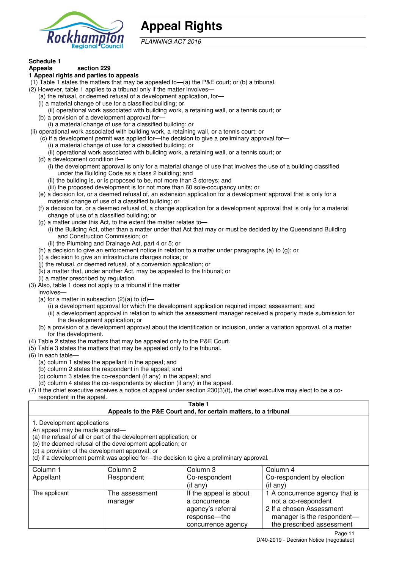

## **Appeal Rights**

PLANNING ACT 2016

## **Schedule 1**

#### **Appeals section 229 1 Appeal rights and parties to appeals**

- (1) Table 1 states the matters that may be appealed to—(a) the P&E court; or (b) a tribunal.
- (2) However, table 1 applies to a tribunal only if the matter involves—
	- (a) the refusal, or deemed refusal of a development application, for—
	- (i) a material change of use for a classified building; or
	- (ii) operational work associated with building work, a retaining wall, or a tennis court; or
	- (b) a provision of a development approval for—
	- (i) a material change of use for a classified building; or
- (ii) operational work associated with building work, a retaining wall, or a tennis court; or
	- (c) if a development permit was applied for—the decision to give a preliminary approval for—
		- (i) a material change of use for a classified building; or
		- (ii) operational work associated with building work, a retaining wall, or a tennis court; or
	- (d) a development condition if—
		- (i) the development approval is only for a material change of use that involves the use of a building classified under the Building Code as a class 2 building; and
		- (ii) the building is, or is proposed to be, not more than 3 storeys; and
		- (iii) the proposed development is for not more than 60 sole-occupancy units; or
	- (e) a decision for, or a deemed refusal of, an extension application for a development approval that is only for a material change of use of a classified building; or
	- (f) a decision for, or a deemed refusal of, a change application for a development approval that is only for a material change of use of a classified building; or
	- (g) a matter under this Act, to the extent the matter relates to—
		- (i) the Building Act, other than a matter under that Act that may or must be decided by the Queensland Building and Construction Commission; or
			- (ii) the Plumbing and Drainage Act, part 4 or 5; or
	- (h) a decision to give an enforcement notice in relation to a matter under paragraphs (a) to (g); or
	- (i) a decision to give an infrastructure charges notice; or
	- (j) the refusal, or deemed refusal, of a conversion application; or
	- (k) a matter that, under another Act, may be appealed to the tribunal; or
	- (l) a matter prescribed by regulation.
- (3) Also, table 1 does not apply to a tribunal if the matter
- involves—
	- (a) for a matter in subsection  $(2)(a)$  to  $(d)$ -
		- (i) a development approval for which the development application required impact assessment; and
		- (ii) a development approval in relation to which the assessment manager received a properly made submission for the development application; or
	- (b) a provision of a development approval about the identification or inclusion, under a variation approval, of a matter for the development.
- (4) Table 2 states the matters that may be appealed only to the P&E Court.
- (5) Table 3 states the matters that may be appealed only to the tribunal.
- (6) In each table—
	- (a) column 1 states the appellant in the appeal; and
	- (b) column 2 states the respondent in the appeal; and
	- (c) column 3 states the co-respondent (if any) in the appeal; and
	- (d) column 4 states the co-respondents by election (if any) in the appeal.
- (7) If the chief executive receives a notice of appeal under section 230(3)(f), the chief executive may elect to be a corespondent in the appeal.

## **Table 1**

## **Appeals to the P&E Court and, for certain matters, to a tribunal**

1. Development applications

An appeal may be made against—

(a) the refusal of all or part of the development application; or

(b) the deemed refusal of the development application; or

(c) a provision of the development approval; or

(d) if a development permit was applied for—the decision to give a preliminary approval.

| Column 1      | Column 2       | Column 3               | Column 4                       |
|---------------|----------------|------------------------|--------------------------------|
| Appellant     | Respondent     | Co-respondent          | Co-respondent by election      |
|               |                | $(i$ f any)            | $(i$ f any)                    |
| The applicant | The assessment | If the appeal is about | 1 A concurrence agency that is |
|               | manager        | a concurrence          | not a co-respondent            |
|               |                | agency's referral      | 2 If a chosen Assessment       |
|               |                | response—the           | manager is the respondent-     |
|               |                | concurrence agency     | the prescribed assessment      |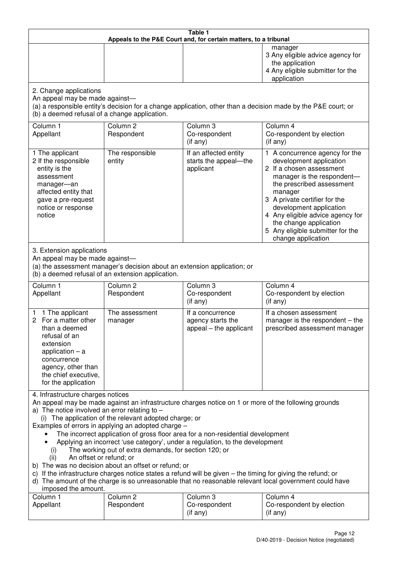| Table 1<br>Appeals to the P&E Court and, for certain matters, to a tribunal                                                                                                                                                                                                                                                                                                                                                                                                                                                                                                                                                                                                                                                                                                                                                                                                                 |                                                                                                                               |                                                                 |                                                                                                                                                                                                                                                                                                                                                 |
|---------------------------------------------------------------------------------------------------------------------------------------------------------------------------------------------------------------------------------------------------------------------------------------------------------------------------------------------------------------------------------------------------------------------------------------------------------------------------------------------------------------------------------------------------------------------------------------------------------------------------------------------------------------------------------------------------------------------------------------------------------------------------------------------------------------------------------------------------------------------------------------------|-------------------------------------------------------------------------------------------------------------------------------|-----------------------------------------------------------------|-------------------------------------------------------------------------------------------------------------------------------------------------------------------------------------------------------------------------------------------------------------------------------------------------------------------------------------------------|
|                                                                                                                                                                                                                                                                                                                                                                                                                                                                                                                                                                                                                                                                                                                                                                                                                                                                                             |                                                                                                                               |                                                                 | manager<br>3 Any eligible advice agency for<br>the application<br>4 Any eligible submitter for the<br>application                                                                                                                                                                                                                               |
| 2. Change applications<br>An appeal may be made against-<br>(b) a deemed refusal of a change application.                                                                                                                                                                                                                                                                                                                                                                                                                                                                                                                                                                                                                                                                                                                                                                                   |                                                                                                                               |                                                                 | (a) a responsible entity's decision for a change application, other than a decision made by the P&E court; or                                                                                                                                                                                                                                   |
| Column 1<br>Appellant                                                                                                                                                                                                                                                                                                                                                                                                                                                                                                                                                                                                                                                                                                                                                                                                                                                                       | Column <sub>2</sub><br>Respondent                                                                                             | Column 3<br>Co-respondent<br>(if any)                           | Column 4<br>Co-respondent by election<br>(if any)                                                                                                                                                                                                                                                                                               |
| 1 The applicant<br>2 If the responsible<br>entity is the<br>assessment<br>manager-an<br>affected entity that<br>gave a pre-request<br>notice or response<br>notice                                                                                                                                                                                                                                                                                                                                                                                                                                                                                                                                                                                                                                                                                                                          | The responsible<br>entity                                                                                                     | If an affected entity<br>starts the appeal-the<br>applicant     | 1 A concurrence agency for the<br>development application<br>2 If a chosen assessment<br>manager is the respondent-<br>the prescribed assessment<br>manager<br>3 A private certifier for the<br>development application<br>4 Any eligible advice agency for<br>the change application<br>5 Any eligible submitter for the<br>change application |
| 3. Extension applications<br>An appeal may be made against-                                                                                                                                                                                                                                                                                                                                                                                                                                                                                                                                                                                                                                                                                                                                                                                                                                 | (a) the assessment manager's decision about an extension application; or<br>(b) a deemed refusal of an extension application. |                                                                 |                                                                                                                                                                                                                                                                                                                                                 |
| Column 1<br>Appellant                                                                                                                                                                                                                                                                                                                                                                                                                                                                                                                                                                                                                                                                                                                                                                                                                                                                       | Column <sub>2</sub><br>Respondent                                                                                             | Column 3<br>Co-respondent<br>(if any)                           | Column 4<br>Co-respondent by election<br>(if any)                                                                                                                                                                                                                                                                                               |
| 1 The applicant<br>1.<br>For a matter other<br>than a deemed<br>refusal of an<br>extension<br>application $-$ a<br>concurrence<br>agency, other than<br>the chief executive,<br>for the application                                                                                                                                                                                                                                                                                                                                                                                                                                                                                                                                                                                                                                                                                         | The assessment<br>manager                                                                                                     | If a concurrence<br>agency starts the<br>appeal – the applicant | If a chosen assessment<br>manager is the respondent $-$ the<br>prescribed assessment manager                                                                                                                                                                                                                                                    |
| 4. Infrastructure charges notices<br>An appeal may be made against an infrastructure charges notice on 1 or more of the following grounds<br>a) The notice involved an error relating to $-$<br>(i) The application of the relevant adopted charge; or<br>Examples of errors in applying an adopted charge -<br>The incorrect application of gross floor area for a non-residential development<br>Applying an incorrect 'use category', under a regulation, to the development<br>The working out of extra demands, for section 120; or<br>(i)<br>An offset or refund; or<br>(ii)<br>b) The was no decision about an offset or refund; or<br>c) If the infrastructure charges notice states a refund will be given – the timing for giving the refund; or<br>d) The amount of the charge is so unreasonable that no reasonable relevant local government could have<br>imposed the amount. |                                                                                                                               |                                                                 |                                                                                                                                                                                                                                                                                                                                                 |
| Column 1<br>Appellant                                                                                                                                                                                                                                                                                                                                                                                                                                                                                                                                                                                                                                                                                                                                                                                                                                                                       | Column <sub>2</sub><br>Respondent                                                                                             | Column 3<br>Co-respondent<br>(if any)                           | Column 4<br>Co-respondent by election<br>(if any)                                                                                                                                                                                                                                                                                               |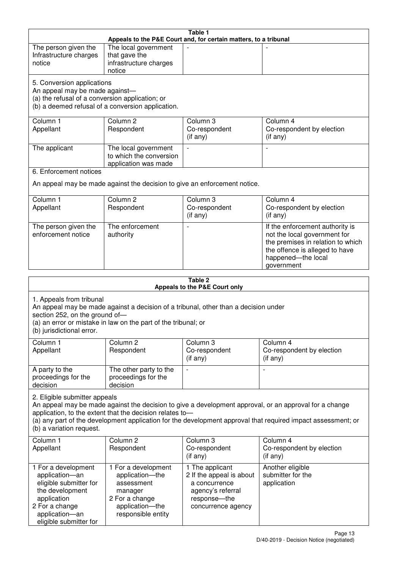| Table 1<br>Appeals to the P&E Court and, for certain matters, to a tribunal |                                                                                     |                          |                                                                                                              |  |
|-----------------------------------------------------------------------------|-------------------------------------------------------------------------------------|--------------------------|--------------------------------------------------------------------------------------------------------------|--|
| The person given the                                                        | The local government                                                                |                          |                                                                                                              |  |
| Infrastructure charges                                                      | that gave the                                                                       |                          |                                                                                                              |  |
| notice                                                                      | infrastructure charges                                                              |                          |                                                                                                              |  |
|                                                                             | notice                                                                              |                          |                                                                                                              |  |
| 5. Conversion applications                                                  |                                                                                     |                          |                                                                                                              |  |
| An appeal may be made against-                                              |                                                                                     |                          |                                                                                                              |  |
| (a) the refusal of a conversion application; or                             |                                                                                     |                          |                                                                                                              |  |
|                                                                             | (b) a deemed refusal of a conversion application.                                   |                          |                                                                                                              |  |
| Column 1                                                                    | Column <sub>2</sub>                                                                 | Column 3                 | Column 4                                                                                                     |  |
| Appellant                                                                   | Respondent                                                                          | Co-respondent            | Co-respondent by election                                                                                    |  |
|                                                                             |                                                                                     | (if any)                 | (if any)                                                                                                     |  |
| The applicant                                                               | The local government                                                                |                          |                                                                                                              |  |
|                                                                             | to which the conversion                                                             |                          |                                                                                                              |  |
|                                                                             | application was made                                                                |                          |                                                                                                              |  |
| 6. Enforcement notices                                                      |                                                                                     |                          |                                                                                                              |  |
|                                                                             | An appeal may be made against the decision to give an enforcement notice.           |                          |                                                                                                              |  |
|                                                                             |                                                                                     |                          |                                                                                                              |  |
| Column 1                                                                    | Column <sub>2</sub>                                                                 | Column 3                 | Column 4                                                                                                     |  |
| Appellant                                                                   | Respondent                                                                          | Co-respondent            | Co-respondent by election<br>$($ if any $)$                                                                  |  |
|                                                                             |                                                                                     | (if any)                 |                                                                                                              |  |
| The person given the                                                        | The enforcement                                                                     |                          | If the enforcement authority is                                                                              |  |
| enforcement notice                                                          | authority                                                                           |                          | not the local government for<br>the premises in relation to which                                            |  |
|                                                                             |                                                                                     |                          | the offence is alleged to have                                                                               |  |
|                                                                             |                                                                                     |                          | happened-the local                                                                                           |  |
|                                                                             |                                                                                     |                          | government                                                                                                   |  |
|                                                                             |                                                                                     |                          |                                                                                                              |  |
| Table 2<br>Appeals to the P&E Court only                                    |                                                                                     |                          |                                                                                                              |  |
|                                                                             |                                                                                     |                          |                                                                                                              |  |
|                                                                             |                                                                                     |                          |                                                                                                              |  |
| 1. Appeals from tribunal                                                    |                                                                                     |                          |                                                                                                              |  |
| section 252, on the ground of-                                              | An appeal may be made against a decision of a tribunal, other than a decision under |                          |                                                                                                              |  |
|                                                                             | (a) an error or mistake in law on the part of the tribunal; or                      |                          |                                                                                                              |  |
| (b) jurisdictional error.                                                   |                                                                                     |                          |                                                                                                              |  |
| Column 1                                                                    | Column <sub>2</sub>                                                                 | Column 3                 | Column 4                                                                                                     |  |
| Appellant                                                                   | Respondent                                                                          | Co-respondent            | Co-respondent by election                                                                                    |  |
|                                                                             |                                                                                     | (if any)                 | (if any)                                                                                                     |  |
| A party to the                                                              | The other party to the                                                              |                          | $\overline{a}$                                                                                               |  |
| proceedings for the                                                         | proceedings for the                                                                 |                          |                                                                                                              |  |
| decision                                                                    | decision                                                                            |                          |                                                                                                              |  |
| 2. Eligible submitter appeals                                               |                                                                                     |                          |                                                                                                              |  |
|                                                                             |                                                                                     |                          | An appeal may be made against the decision to give a development approval, or an approval for a change       |  |
|                                                                             | application, to the extent that the decision relates to-                            |                          |                                                                                                              |  |
|                                                                             |                                                                                     |                          | (a) any part of the development application for the development approval that required impact assessment; or |  |
| (b) a variation request.                                                    |                                                                                     |                          |                                                                                                              |  |
| Column <sub>1</sub>                                                         | Column <sub>2</sub>                                                                 | Column <sub>3</sub>      | Column 4                                                                                                     |  |
| Appellant                                                                   | Respondent                                                                          | Co-respondent            | Co-respondent by election                                                                                    |  |
|                                                                             |                                                                                     | (if any)                 | (if any)                                                                                                     |  |
| 1 For a development                                                         | 1 For a development                                                                 | 1 The applicant          | Another eligible                                                                                             |  |
| application-an                                                              | application-the                                                                     | 2 If the appeal is about | submitter for the                                                                                            |  |
| eligible submitter for                                                      | assessment                                                                          | a concurrence            | application                                                                                                  |  |
| the development                                                             | manager                                                                             | agency's referral        |                                                                                                              |  |
| application                                                                 | 2 For a change                                                                      | response-the             |                                                                                                              |  |
| 2 For a change<br>application-an                                            | application-the<br>responsible entity                                               | concurrence agency       |                                                                                                              |  |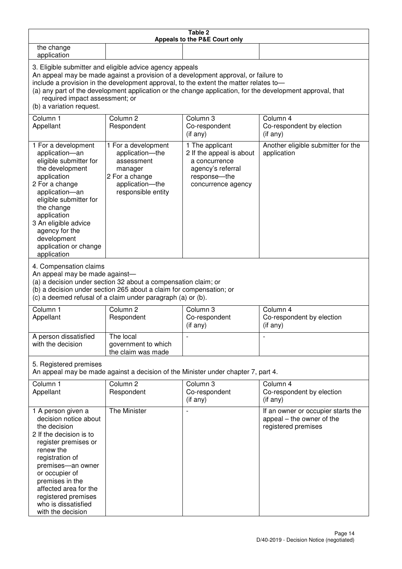| Table 2<br>Appeals to the P&E Court only                                                                                                                                                                                                                                                                                                                                                                           |                                                                                                                                                                                                      |                                                                                                                         |                                                                                        |  |
|--------------------------------------------------------------------------------------------------------------------------------------------------------------------------------------------------------------------------------------------------------------------------------------------------------------------------------------------------------------------------------------------------------------------|------------------------------------------------------------------------------------------------------------------------------------------------------------------------------------------------------|-------------------------------------------------------------------------------------------------------------------------|----------------------------------------------------------------------------------------|--|
| the change<br>application                                                                                                                                                                                                                                                                                                                                                                                          |                                                                                                                                                                                                      |                                                                                                                         |                                                                                        |  |
| 3. Eligible submitter and eligible advice agency appeals<br>An appeal may be made against a provision of a development approval, or failure to<br>include a provision in the development approval, to the extent the matter relates to-<br>(a) any part of the development application or the change application, for the development approval, that<br>required impact assessment; or<br>(b) a variation request. |                                                                                                                                                                                                      |                                                                                                                         |                                                                                        |  |
| Column <sub>1</sub><br>Appellant                                                                                                                                                                                                                                                                                                                                                                                   | Column <sub>2</sub><br>Respondent                                                                                                                                                                    | Column <sub>3</sub><br>Co-respondent<br>(if any)                                                                        | Column 4<br>Co-respondent by election<br>(if any)                                      |  |
| 1 For a development<br>application-an<br>eligible submitter for<br>the development<br>application<br>2 For a change<br>application-an<br>eligible submitter for<br>the change<br>application<br>3 An eligible advice<br>agency for the<br>development<br>application or change<br>application                                                                                                                      | 1 For a development<br>application-the<br>assessment<br>manager<br>2 For a change<br>application-the<br>responsible entity                                                                           | 1 The applicant<br>2 If the appeal is about<br>a concurrence<br>agency's referral<br>response-the<br>concurrence agency | Another eligible submitter for the<br>application                                      |  |
| 4. Compensation claims<br>An appeal may be made against-                                                                                                                                                                                                                                                                                                                                                           | (a) a decision under section 32 about a compensation claim; or<br>(b) a decision under section 265 about a claim for compensation; or<br>(c) a deemed refusal of a claim under paragraph (a) or (b). |                                                                                                                         |                                                                                        |  |
| Column <sub>1</sub><br>Appellant                                                                                                                                                                                                                                                                                                                                                                                   | Column <sub>2</sub><br>Respondent                                                                                                                                                                    | Column 3<br>Co-respondent<br>(if any)                                                                                   | Column 4<br>Co-respondent by election<br>(if any)                                      |  |
| A person dissatisfied<br>with the decision                                                                                                                                                                                                                                                                                                                                                                         | The local<br>government to which<br>the claim was made                                                                                                                                               |                                                                                                                         |                                                                                        |  |
| 5. Registered premises                                                                                                                                                                                                                                                                                                                                                                                             |                                                                                                                                                                                                      | An appeal may be made against a decision of the Minister under chapter 7, part 4.                                       |                                                                                        |  |
| Column 1<br>Appellant                                                                                                                                                                                                                                                                                                                                                                                              | Column <sub>2</sub><br>Respondent                                                                                                                                                                    | Column 3<br>Co-respondent<br>(if any)                                                                                   | Column 4<br>Co-respondent by election<br>(if any)                                      |  |
| 1 A person given a<br>decision notice about<br>the decision<br>2 If the decision is to<br>register premises or<br>renew the<br>registration of<br>premises-an owner<br>or occupier of<br>premises in the<br>affected area for the<br>registered premises<br>who is dissatisfied<br>with the decision                                                                                                               | The Minister                                                                                                                                                                                         |                                                                                                                         | If an owner or occupier starts the<br>appeal – the owner of the<br>registered premises |  |